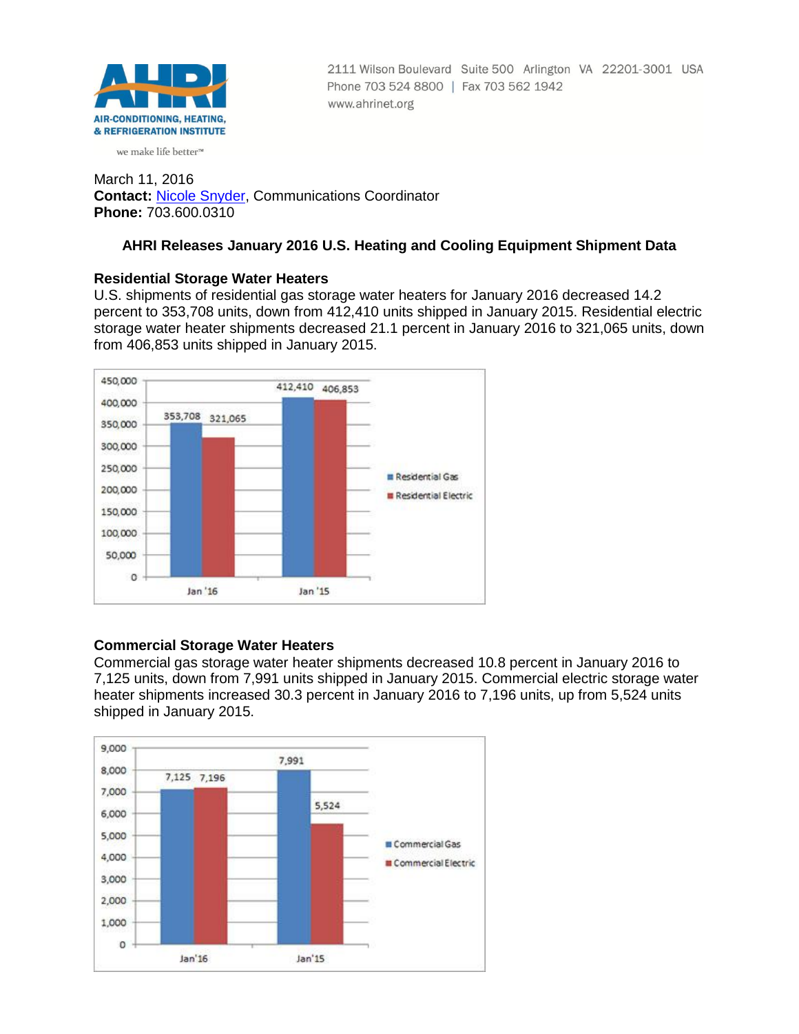

2111 Wilson Boulevard Suite 500 Arlington VA 22201-3001 USA Phone 703 524 8800 | Fax 703 562 1942 www.ahrinet.org

#### we make life better<sup>™</sup>

March 11, 2016 **Contact:** [Nicole Snyder,](mailto:nsnyder@ahrinet.org) Communications Coordinator **Phone:** 703.600.0310

## **AHRI Releases January 2016 U.S. Heating and Cooling Equipment Shipment Data**

### **Residential Storage Water Heaters**

U.S. shipments of residential gas storage water heaters for January 2016 decreased 14.2 percent to 353,708 units, down from 412,410 units shipped in January 2015. Residential electric storage water heater shipments decreased 21.1 percent in January 2016 to 321,065 units, down from 406,853 units shipped in January 2015.



# **Commercial Storage Water Heaters**

Commercial gas storage water heater shipments decreased 10.8 percent in January 2016 to 7,125 units, down from 7,991 units shipped in January 2015. Commercial electric storage water heater shipments increased 30.3 percent in January 2016 to 7,196 units, up from 5,524 units shipped in January 2015.

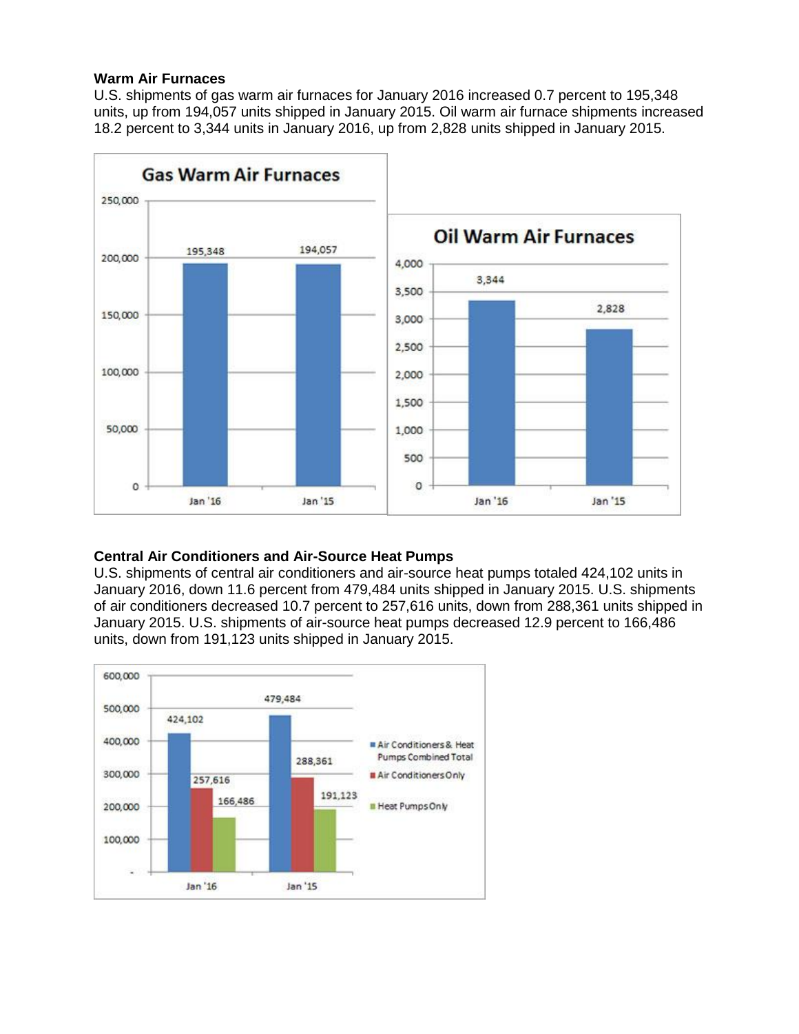### **Warm Air Furnaces**

U.S. shipments of gas warm air furnaces for January 2016 increased 0.7 percent to 195,348 units, up from 194,057 units shipped in January 2015. Oil warm air furnace shipments increased 18.2 percent to 3,344 units in January 2016, up from 2,828 units shipped in January 2015.



# **Central Air Conditioners and Air-Source Heat Pumps**

U.S. shipments of central air conditioners and air-source heat pumps totaled 424,102 units in January 2016, down 11.6 percent from 479,484 units shipped in January 2015. U.S. shipments of air conditioners decreased 10.7 percent to 257,616 units, down from 288,361 units shipped in January 2015. U.S. shipments of air-source heat pumps decreased 12.9 percent to 166,486 units, down from 191,123 units shipped in January 2015.